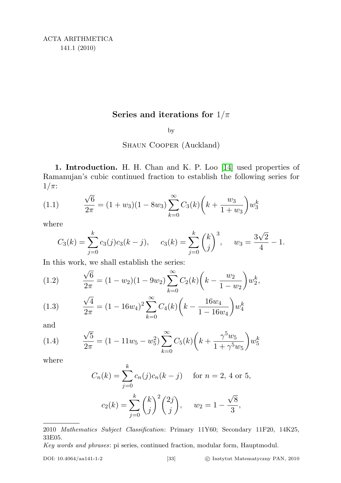# Series and iterations for  $1/\pi$

by

### Shaun Cooper (Auckland)

1. Introduction. H. H. Chan and K. P. Loo [\[14\]](#page-24-0) used properties of Ramanujan's cubic continued fraction to establish the following series for  $1/\pi$ :

(1.1) 
$$
\frac{\sqrt{6}}{2\pi} = (1+w_3)(1-8w_3) \sum_{k=0}^{\infty} C_3(k) \left(k + \frac{w_3}{1+w_3}\right) w_3^k
$$

where

<span id="page-0-0"></span>
$$
C_3(k) = \sum_{j=0}^k c_3(j)c_3(k-j), \quad c_3(k) = \sum_{j=0}^k {k \choose j}^3, \quad w_3 = \frac{3\sqrt{2}}{4} - 1.
$$

In this work, we shall establish the series:

(1.2) 
$$
\frac{\sqrt{6}}{2\pi} = (1 - w_2)(1 - 9w_2) \sum_{k=0}^{\infty} C_2(k) \left( k - \frac{w_2}{1 - w_2} \right) w_2^k,
$$

<span id="page-0-2"></span>(1.3) 
$$
\frac{\sqrt{4}}{2\pi} = (1 - 16w_4)^2 \sum_{k=0}^{\infty} C_4(k) \left( k - \frac{16w_4}{1 - 16w_4} \right) w_4^k
$$

and

<span id="page-0-1"></span>(1.4) 
$$
\frac{\sqrt{5}}{2\pi} = (1 - 11w_5 - w_5^2) \sum_{k=0}^{\infty} C_5(k) \left( k + \frac{\gamma^5 w_5}{1 + \gamma^5 w_5} \right) w_5^k
$$

where

$$
C_n(k) = \sum_{j=0}^k c_n(j)c_n(k-j) \quad \text{for } n = 2, \, 4 \text{ or } 5,
$$

$$
c_2(k) = \sum_{j=0}^k {k \choose j}^2 {2j \choose j}, \quad w_2 = 1 - \frac{\sqrt{8}}{3},
$$

<sup>2010</sup> Mathematics Subject Classification: Primary 11Y60; Secondary 11F20, 14K25, 33E05.

Key words and phrases: pi series, continued fraction, modular form, Hauptmodul.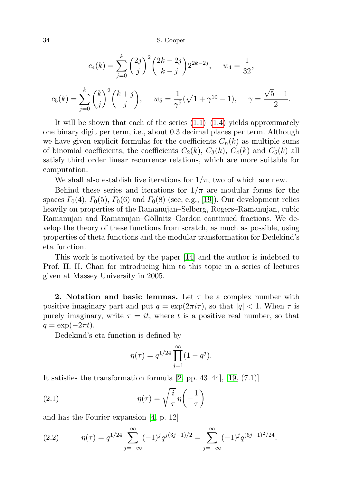$$
c_4(k) = \sum_{j=0}^k {\binom{2j}{j}}^2 {\binom{2k-2j}{k-j}} 2^{2k-2j}, \quad w_4 = \frac{1}{32},
$$
  

$$
c_5(k) = \sum_{j=0}^k {\binom{k}{j}}^2 {\binom{k+j}{j}}, \quad w_5 = \frac{1}{\gamma^5} (\sqrt{1+\gamma^{10}} - 1), \quad \gamma = \frac{\sqrt{5}-1}{2}.
$$

It will be shown that each of the series  $(1.1)$ – $(1.4)$  yields approximately one binary digit per term, i.e., about 0.3 decimal places per term. Although we have given explicit formulas for the coefficients  $C_n(k)$  as multiple sums of binomial coefficients, the coefficients  $C_2(k)$ ,  $C_3(k)$ ,  $C_4(k)$  and  $C_5(k)$  all satisfy third order linear recurrence relations, which are more suitable for computation.

We shall also establish five iterations for  $1/\pi$ , two of which are new.

Behind these series and iterations for  $1/\pi$  are modular forms for the spaces  $\Gamma_0(4)$ ,  $\Gamma_0(5)$ ,  $\Gamma_0(6)$  and  $\Gamma_0(8)$  (see, e.g., [\[19\]](#page-24-1)). Our development relies heavily on properties of the Ramanujan–Selberg, Rogers–Ramanujan, cubic Ramanujan and Ramanujan–Göllnitz–Gordon continued fractions. We develop the theory of these functions from scratch, as much as possible, using properties of theta functions and the modular transformation for Dedekind's eta function.

This work is motivated by the paper [\[14\]](#page-24-0) and the author is indebted to Prof. H. H. Chan for introducing him to this topic in a series of lectures given at Massey University in 2005.

**2.** Notation and basic lemmas. Let  $\tau$  be a complex number with positive imaginary part and put  $q = \exp(2\pi i \tau)$ , so that  $|q| < 1$ . When  $\tau$  is purely imaginary, write  $\tau = it$ , where t is a positive real number, so that  $q = \exp(-2\pi t).$ 

Dedekind's eta function is defined by

<span id="page-1-1"></span>
$$
\eta(\tau) = q^{1/24} \prod_{j=1}^{\infty} (1 - q^j).
$$

It satisfies the transformation formula [\[2,](#page-24-2) pp. 43–44], [\[19,](#page-24-1) (7.1)]

(2.1) 
$$
\eta(\tau) = \sqrt{\frac{i}{\tau}} \eta \left( -\frac{1}{\tau} \right)
$$

and has the Fourier expansion [\[4,](#page-24-3) p. 12]

<span id="page-1-0"></span>(2.2) 
$$
\eta(\tau) = q^{1/24} \sum_{j=-\infty}^{\infty} (-1)^j q^{j(3j-1)/2} = \sum_{j=-\infty}^{\infty} (-1)^j q^{(6j-1)^2/24}.
$$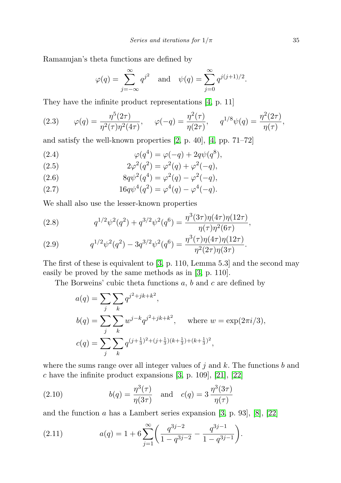Ramanujan's theta functions are defined by

$$
\varphi(q) = \sum_{j=-\infty}^{\infty} q^{j^2}
$$
 and  $\psi(q) = \sum_{j=0}^{\infty} q^{j(j+1)/2}$ .

They have the infinite product representations [\[4,](#page-24-3) p. 11]

<span id="page-2-0"></span>(2.3) 
$$
\varphi(q) = \frac{\eta^5(2\tau)}{\eta^2(\tau)\eta^2(4\tau)}, \quad \varphi(-q) = \frac{\eta^2(\tau)}{\eta(2\tau)}, \quad q^{1/8}\psi(q) = \frac{\eta^2(2\tau)}{\eta(\tau)},
$$

and satisfy the well-known properties [\[2,](#page-24-2) p. 40], [\[4,](#page-24-3) pp. 71–72]

(2.4) 
$$
\varphi(q^4) = \varphi(-q) + 2q\psi(q^8),
$$

(2.5) 
$$
2\varphi^2(q^2) = \varphi^2(q) + \varphi^2(-q),
$$

(2.6) 
$$
8q\psi^2(q^4) = \varphi^2(q) - \varphi^2(-q),
$$

(2.7) 
$$
16q\psi^4(q^2) = \varphi^4(q) - \varphi^4(-q).
$$

We shall also use the lesser-known properties

(2.8) 
$$
q^{1/2}\psi^2(q^2) + q^{3/2}\psi^2(q^6) = \frac{\eta^3(3\tau)\eta(4\tau)\eta(12\tau)}{\eta(\tau)\eta^2(6\tau)},
$$

(2.9) 
$$
q^{1/2}\psi^2(q^2) - 3q^{3/2}\psi^2(q^6) = \frac{\eta^3(\tau)\eta(4\tau)\eta(12\tau)}{\eta^2(2\tau)\eta(3\tau)}.
$$

The first of these is equivalent to [\[3,](#page-24-4) p. 110, Lemma 5.3] and the second may easily be proved by the same methods as in [\[3,](#page-24-4) p. 110].

The Borweins' cubic theta functions a, b and c are defined by

$$
a(q) = \sum_{j} \sum_{k} q^{j^2 + jk + k^2},
$$
  
\n
$$
b(q) = \sum_{j} \sum_{k} w^{j-k} q^{j^2 + jk + k^2}, \text{ where } w = \exp(2\pi i/3),
$$
  
\n
$$
c(q) = \sum_{j} \sum_{k} q^{(j + \frac{1}{3})^2 + (j + \frac{1}{3})(k + \frac{1}{3}) + (k + \frac{1}{3})^2},
$$

where the sums range over all integer values of  $j$  and  $k$ . The functions  $b$  and  $c$  have the infinite product expansions [\[3,](#page-24-4) p. 109], [\[21\]](#page-24-5), [\[22\]](#page-24-6)

<span id="page-2-2"></span>(2.10) 
$$
b(q) = \frac{\eta^3(\tau)}{\eta(3\tau)} \text{ and } c(q) = 3 \frac{\eta^3(3\tau)}{\eta(\tau)}
$$

and the function  $a$  has a Lambert series expansion [\[3,](#page-24-4) p. 93], [\[8\]](#page-24-7), [\[22\]](#page-24-6)

<span id="page-2-1"></span>(2.11) 
$$
a(q) = 1 + 6 \sum_{j=1}^{\infty} \left( \frac{q^{3j-2}}{1 - q^{3j-2}} - \frac{q^{3j-1}}{1 - q^{3j-1}} \right).
$$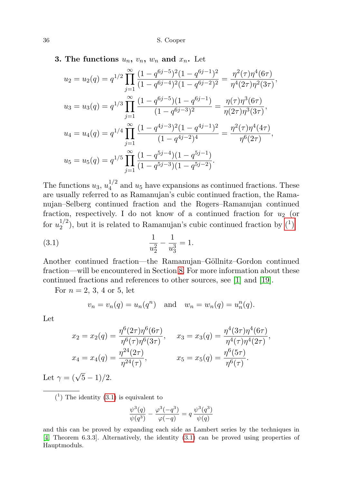<span id="page-3-2"></span>**3.** The functions  $u_n$ ,  $v_n$ ,  $w_n$  and  $x_n$ . Let

$$
u_2 = u_2(q) = q^{1/2} \prod_{j=1}^{\infty} \frac{(1 - q^{6j-5})^2 (1 - q^{6j-1})^2}{(1 - q^{6j-4})^2 (1 - q^{6j-2})^2} = \frac{\eta^2(\tau) \eta^4(6\tau)}{\eta^4(2\tau) \eta^2(3\tau)},
$$
  
\n
$$
u_3 = u_3(q) = q^{1/3} \prod_{j=1}^{\infty} \frac{(1 - q^{6j-5})(1 - q^{6j-1})}{(1 - q^{6j-3})^2} = \frac{\eta(\tau) \eta^3(6\tau)}{\eta(2\tau) \eta^3(3\tau)},
$$
  
\n
$$
u_4 = u_4(q) = q^{1/4} \prod_{j=1}^{\infty} \frac{(1 - q^{4j-3})^2 (1 - q^{4j-1})^2}{(1 - q^{4j-2})^4} = \frac{\eta^2(\tau) \eta^4(4\tau)}{\eta^6(2\tau)},
$$
  
\n
$$
u_5 = u_5(q) = q^{1/5} \prod_{j=1}^{\infty} \frac{(1 - q^{5j-4})(1 - q^{5j-1})}{(1 - q^{5j-3})(1 - q^{5j-2})}.
$$

The functions  $u_3, u_4^{1/2}$  $\frac{1}{4}$  and  $u_5$  have expansions as continued fractions. These are usually referred to as Ramanujan's cubic continued fraction, the Ramanujan–Selberg continued fraction and the Rogers–Ramanujan continued fraction, respectively. I do not know of a continued fraction for  $u_2$  (or for  $u_2^{1/2}$  $\binom{1}{2}$ , but it is related to Ramanujan's cubic continued fraction by  $\binom{1}{1}$ 

(3.1) 
$$
\frac{1}{u_2^2} - \frac{1}{u_3^3} = 1.
$$

Another continued fraction—the Ramanujan–Göllnitz–Gordon continued fraction—will be encountered in Section [8.](#page-21-0) For more information about these continued fractions and references to other sources, see [\[1\]](#page-24-8) and [\[19\]](#page-24-1).

For  $n = 2, 3, 4$  or 5, let

<span id="page-3-1"></span>
$$
v_n = v_n(q) = u_n(q^n)
$$
 and  $w_n = w_n(q) = u_n^n(q)$ .

Let

$$
x_2 = x_2(q) = \frac{\eta^6(2\tau)\eta^6(6\tau)}{\eta^6(\tau)\eta^6(3\tau)}, \qquad x_3 = x_3(q) = \frac{\eta^4(3\tau)\eta^4(6\tau)}{\eta^4(\tau)\eta^4(2\tau)},
$$
  

$$
x_4 = x_4(q) = \frac{\eta^{24}(2\tau)}{\eta^{24}(\tau)}, \qquad x_5 = x_5(q) = \frac{\eta^6(5\tau)}{\eta^6(\tau)}.
$$

Let  $\gamma = (\sqrt{5} - 1)/2$ .

<span id="page-3-0"></span> $(1)$  The identity  $(3.1)$  is equivalent to

$$
\frac{\psi^3(q)}{\psi(q^3)} - \frac{\varphi^3(-q^3)}{\varphi(-q)} = q \frac{\psi^3(q^3)}{\psi(q)}
$$

and this can be proved by expanding each side as Lambert series by the techniques in [\[4,](#page-24-3) Theorem 6.3.3]. Alternatively, the identity [\(3.1\)](#page-3-1) can be proved using properties of Hauptmoduls.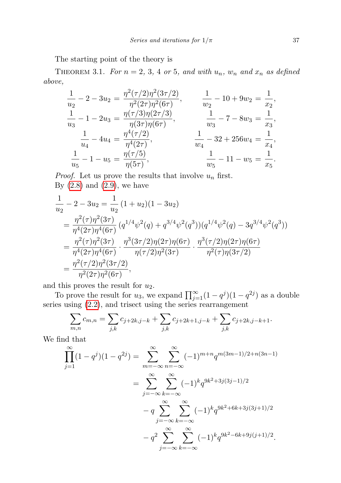The starting point of the theory is

<span id="page-4-0"></span>THEOREM 3.1. For  $n = 2, 3, 4$  or 5, and with  $u_n$ ,  $w_n$  and  $x_n$  as defined above,

$$
\frac{1}{u_2} - 2 - 3u_2 = \frac{\eta^2(\tau/2)\eta^2(3\tau/2)}{\eta^2(2\tau)\eta^2(6\tau)}, \qquad \frac{1}{w_2} - 10 + 9w_2 = \frac{1}{x_2},
$$
  
\n
$$
\frac{1}{u_3} - 1 - 2u_3 = \frac{\eta(\tau/3)\eta(2\tau/3)}{\eta(3\tau)\eta(6\tau)}, \qquad \frac{1}{w_3} - 7 - 8w_3 = \frac{1}{x_3},
$$
  
\n
$$
\frac{1}{u_4} - 4u_4 = \frac{\eta^4(\tau/2)}{\eta^4(2\tau)}, \qquad \frac{1}{w_4} - 32 + 256w_4 = \frac{1}{x_4},
$$
  
\n
$$
\frac{1}{u_5} - 1 - u_5 = \frac{\eta(\tau/5)}{\eta(5\tau)}, \qquad \frac{1}{w_5} - 11 - w_5 = \frac{1}{x_5}.
$$

*Proof.* Let us prove the results that involve  $u_n$  first. By  $(2.8)$  and  $(2.9)$ , we have

$$
\frac{1}{u_2} - 2 - 3u_2 = \frac{1}{u_2} (1 + u_2)(1 - 3u_2)
$$
\n
$$
= \frac{\eta^2(\tau)\eta^2(3\tau)}{\eta^4(2\tau)\eta^4(6\tau)} (q^{1/4}\psi^2(q) + q^{3/4}\psi^2(q^3))(q^{1/4}\psi^2(q) - 3q^{3/4}\psi^2(q^3))
$$
\n
$$
= \frac{\eta^2(\tau)\eta^2(3\tau)}{\eta^4(2\tau)\eta^4(6\tau)} \cdot \frac{\eta^3(3\tau/2)\eta(2\tau)\eta(6\tau)}{\eta(\tau/2)\eta^2(3\tau)} \cdot \frac{\eta^3(\tau/2)\eta(2\tau)\eta(6\tau)}{\eta^2(\tau)\eta(3\tau/2)}
$$
\n
$$
= \frac{\eta^2(\tau/2)\eta^2(3\tau/2)}{\eta^2(2\tau)\eta^2(6\tau)},
$$

and this proves the result for  $u_2$ .

To prove the result for  $u_3$ , we expand  $\prod_{j=1}^{\infty} (1 - q^j)(1 - q^{2j})$  as a double series using [\(2.2\)](#page-1-0), and trisect using the series rearrangement

$$
\sum_{m,n} c_{m,n} = \sum_{j,k} c_{j+2k,j-k} + \sum_{j,k} c_{j+2k+1,j-k} + \sum_{j,k} c_{j+2k,j-k+1}.
$$

We find that

$$
\prod_{j=1}^{\infty} (1 - q^j)(1 - q^{2j}) = \sum_{m=-\infty}^{\infty} \sum_{n=-\infty}^{\infty} (-1)^{m+n} q^{m(3m-1)/2 + n(3n-1)}
$$

$$
= \sum_{j=-\infty}^{\infty} \sum_{k=-\infty}^{\infty} (-1)^k q^{9k^2 + 3j(3j-1)/2}
$$

$$
-q \sum_{j=-\infty}^{\infty} \sum_{k=-\infty}^{\infty} (-1)^k q^{9k^2 + 6k + 3j(3j+1)/2}
$$

$$
-q^2 \sum_{j=-\infty}^{\infty} \sum_{k=-\infty}^{\infty} (-1)^k q^{9k^2 - 6k + 9j(j+1)/2}.
$$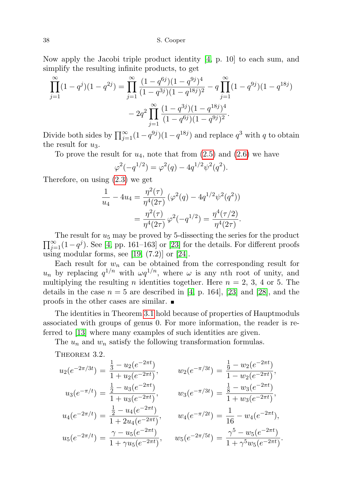Now apply the Jacobi triple product identity [\[4,](#page-24-3) p. 10] to each sum, and simplify the resulting infinite products, to get

$$
\prod_{j=1}^{\infty} (1 - q^j)(1 - q^{2j}) = \prod_{j=1}^{\infty} \frac{(1 - q^{6j})(1 - q^{9j})^4}{(1 - q^{3j})(1 - q^{18j})^2} - q \prod_{j=1}^{\infty} (1 - q^{9j})(1 - q^{18j}) - 2q^2 \prod_{j=1}^{\infty} \frac{(1 - q^{3j})(1 - q^{18j})^4}{(1 - q^{6j})(1 - q^{9j})^2}.
$$

Divide both sides by  $\prod_{j=1}^{\infty} (1 - q^{9j})(1 - q^{18j})$  and replace  $q^3$  with q to obtain the result for  $u_3$ .

To prove the result for  $u_4$ , note that from  $(2.5)$  and  $(2.6)$  we have

$$
\varphi^2(-q^{1/2}) = \varphi^2(q) - 4q^{1/2}\psi^2(q^2).
$$

Therefore, on using [\(2.3\)](#page-2-0) we get

$$
\frac{1}{u_4} - 4u_4 = \frac{\eta^2(\tau)}{\eta^4(2\tau)} \left( \varphi^2(q) - 4q^{1/2} \psi^2(q^2) \right)
$$

$$
= \frac{\eta^2(\tau)}{\eta^4(2\tau)} \varphi^2(-q^{1/2}) = \frac{\eta^4(\tau/2)}{\eta^4(2\tau)}.
$$

 $\prod_{j=1}^{\infty} (1-q^j)$ . See [\[4,](#page-24-3) pp. 161–163] or [\[23\]](#page-24-9) for the details. For different proofs The result for  $u_5$  may be proved by 5-dissecting the series for the product using modular forms, see  $[19, (7.2)]$  $[19, (7.2)]$  or  $[24]$ .

Each result for  $w_n$  can be obtained from the corresponding result for  $u_n$  by replacing  $q^{1/n}$  with  $\omega q^{1/n}$ , where  $\omega$  is any nth root of unity, and multiplying the resulting *n* identities together. Here  $n = 2, 3, 4$  or 5. The details in the case  $n = 5$  are described in [\[4,](#page-24-3) p. 164], [\[23\]](#page-24-9) and [\[28\]](#page-25-1), and the proofs in the other cases are similar.

The identities in Theorem [3.1](#page-4-0) hold because of properties of Hauptmoduls associated with groups of genus 0. For more information, the reader is referred to [\[13\]](#page-24-10) where many examples of such identities are given.

The  $u_n$  and  $w_n$  satisfy the following transformation formulas.

<span id="page-5-0"></span>THEOREM 3.2.

$$
u_2(e^{-2\pi/3t}) = \frac{\frac{1}{3} - u_2(e^{-2\pi t})}{1 + u_2(e^{-2\pi t})}, \qquad w_2(e^{-\pi/3t}) = \frac{\frac{1}{9} - w_2(e^{-2\pi t})}{1 - w_2(e^{-2\pi t})},
$$
  
\n
$$
u_3(e^{-\pi/t}) = \frac{\frac{1}{2} - u_3(e^{-2\pi t})}{1 + u_3(e^{-2\pi t})}, \qquad w_3(e^{-\pi/3t}) = \frac{\frac{1}{8} - w_3(e^{-2\pi t})}{1 + w_3(e^{-2\pi t})},
$$
  
\n
$$
u_4(e^{-2\pi/t}) = \frac{\frac{1}{2} - u_4(e^{-2\pi t})}{1 + 2u_4(e^{-2\pi t})}, \qquad w_4(e^{-\pi/2t}) = \frac{1}{16} - w_4(e^{-2\pi t}),
$$
  
\n
$$
u_5(e^{-2\pi/t}) = \frac{\gamma - u_5(e^{-2\pi t})}{1 + \gamma u_5(e^{-2\pi t})}, \qquad w_5(e^{-2\pi/5t}) = \frac{\gamma^5 - w_5(e^{-2\pi t})}{1 + \gamma^5 w_5(e^{-2\pi t})}.
$$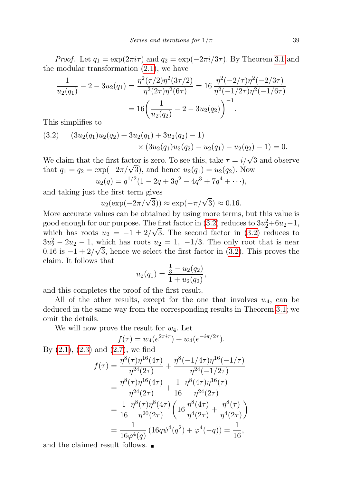*Proof.* Let  $q_1 = \exp(2\pi i \tau)$  and  $q_2 = \exp(-2\pi i/3\tau)$ . By Theorem [3.1](#page-4-0) and the modular transformation [\(2.1\)](#page-1-1), we have

$$
\frac{1}{u_2(q_1)} - 2 - 3u_2(q_1) = \frac{\eta^2(\tau/2)\eta^2(3\tau/2)}{\eta^2(2\tau)\eta^2(6\tau)} = 16\frac{\eta^2(-2/\tau)\eta^2(-2/3\tau)}{\eta^2(-1/2\tau)\eta^2(-1/6\tau)}
$$

$$
= 16\left(\frac{1}{u_2(q_2)} - 2 - 3u_2(q_2)\right)^{-1}.
$$

This simplifies to

<span id="page-6-0"></span>
$$
(3.2) \quad (3u_2(q_1)u_2(q_2) + 3u_2(q_1) + 3u_2(q_2) - 1) \times (3u_2(q_1)u_2(q_2) - u_2(q_1) - u_2(q_2) - 1) = 0.
$$

We claim that the first factor is zero. To see this, take  $\tau = i/\sqrt{3}$  and observe we claim that the first factor is zero. To see this, take  $\tau = i/\sqrt{3}$ , that  $q_1 = q_2 = \exp(-2\pi/\sqrt{3})$ , and hence  $u_2(q_1) = u_2(q_2)$ . Now  $u_2(q) = q^{1/2}(1 - 2q + 3q^2 - 4q^3 + 7q^4 + \cdots),$ 

and taking just the first term gives<br> $u_2(\exp(-2\pi/\sqrt{3}))$ 

$$
u_2(\exp(-2\pi/\sqrt{3})) \approx \exp(-\pi/\sqrt{3}) \approx 0.16.
$$

More accurate values can be obtained by using more terms, but this value is good enough for our purpose. The first factor in  $(3.2)$  reduces to  $3u_2^2+6u_2-1$ , which has roots  $u_2 = -1 \pm 2/\sqrt{3}$ . The second factor in [\(3.2\)](#page-6-0) reduces to  $3u_2^2 - 2u_2 - 1$ , which has roots  $u_2 = 1$ ,  $-1/3$ . The only root that is near 0.16 is  $-1 + 2/\sqrt{3}$ , hence we select the first factor in [\(3.2\)](#page-6-0). This proves the claim. It follows that

$$
u_2(q_1) = \frac{\frac{1}{3} - u_2(q_2)}{1 + u_2(q_2)},
$$

and this completes the proof of the first result.

All of the other results, except for the one that involves  $w_4$ , can be deduced in the same way from the corresponding results in Theorem [3.1;](#page-4-0) we omit the details.

We will now prove the result for  $w_4$ . Let

$$
f(\tau) = w_4(e^{2\pi i\tau}) + w_4(e^{-i\pi/2\tau}).
$$
  
By (2.1), (2.3) and (2.7), we find  

$$
f(\tau) = \frac{\eta^8(\tau)\eta^{16}(4\tau)}{\eta^{24}(2\tau)} + \frac{\eta^8(-1/4\tau)\eta^{16}(-1/\tau)}{\eta^{24}(-1/2\tau)}
$$

$$
= \frac{\eta^8(\tau)\eta^{16}(4\tau)}{\eta^{24}(2\tau)} + \frac{1}{16} \frac{\eta^8(4\tau)\eta^{16}(\tau)}{\eta^{24}(2\tau)}
$$

$$
= \frac{1}{16} \frac{\eta^8(\tau)\eta^8(4\tau)}{\eta^{20}(2\tau)} \left(16 \frac{\eta^8(4\tau)}{\eta^4(2\tau)} + \frac{\eta^8(\tau)}{\eta^4(2\tau)}\right)
$$

$$
= \frac{1}{16\varphi^4(q)} \left(16q\psi^4(q^2) + \varphi^4(-q)\right) = \frac{1}{16},
$$

and the claimed result follows.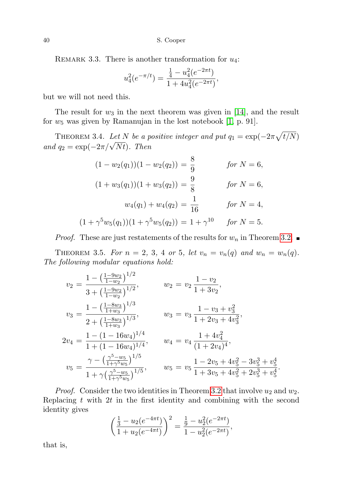REMARK 3.3. There is another transformation for  $u_4$ :

$$
u_4^2(e^{-\pi/t}) = \frac{\frac{1}{4} - u_4^2(e^{-2\pi t})}{1 + 4u_4^2(e^{-2\pi t})},
$$

but we will not need this.

The result for  $w_3$  in the next theorem was given in [\[14\]](#page-24-0), and the result for  $w_5$  was given by Ramanujan in the lost notebook [\[1,](#page-24-8) p. 91].

<span id="page-7-1"></span>THEOREM 3.4. Let N be a positive integer and put  $q_1 = \exp(-2\pi \sqrt{t/N})$ THEOREM 3.4. Let IV be a p<br>and  $q_2 = \exp(-2\pi/\sqrt{Nt})$ . Then

$$
(1 - w_2(q_1))(1 - w_2(q_2)) = \frac{8}{9} \qquad \text{for } N = 6,
$$
  

$$
(1 + w_3(q_1))(1 + w_3(q_2)) = \frac{9}{8} \qquad \text{for } N = 6,
$$
  

$$
w_4(q_1) + w_4(q_2) = \frac{1}{16} \qquad \text{for } N = 4,
$$
  

$$
(1 + \gamma^5 w_5(q_1))(1 + \gamma^5 w_5(q_2)) = 1 + \gamma^{10} \qquad \text{for } N = 5.
$$

*Proof.* These are just restatements of the results for  $w_n$  in Theorem [3.2.](#page-5-0)

<span id="page-7-0"></span>THEOREM 3.5. For  $n = 2, 3, 4$  or 5, let  $v_n = v_n(q)$  and  $w_n = w_n(q)$ . The following modular equations hold:

$$
v_2 = \frac{1 - \left(\frac{1 - 9w_2}{1 - w_2}\right)^{1/2}}{3 + \left(\frac{1 - 9w_2}{1 - w_2}\right)^{1/2}}, \qquad w_2 = v_2 \frac{1 - v_2}{1 + 3v_2},
$$
  
\n
$$
v_3 = \frac{1 - \left(\frac{1 - 8w_3}{1 + w_3}\right)^{1/3}}{2 + \left(\frac{1 - 8w_3}{1 + w_3}\right)^{1/3}}, \qquad w_3 = v_3 \frac{1 - v_3 + v_3^2}{1 + 2v_3 + 4v_3^2},
$$
  
\n
$$
2v_4 = \frac{1 - (1 - 16w_4)^{1/4}}{1 + (1 - 16w_4)^{1/4}}, \qquad w_4 = v_4 \frac{1 + 4v_4^2}{(1 + 2v_4)^4},
$$
  
\n
$$
v_5 = \frac{\gamma - \left(\frac{\gamma^5 - w_5}{1 + \gamma^5 w_5}\right)^{1/5}}{1 + \gamma \left(\frac{\gamma^5 - w_5}{1 + \gamma^5 w_5}\right)^{1/5}}, \qquad w_5 = v_5 \frac{1 - 2v_5 + 4v_5^2 - 3v_5^3 + v_5^4}{1 + 3v_5 + 4v_5^2 + 2v_5^3 + v_5^4}.
$$

*Proof.* Consider the two identities in Theorem [3.2](#page-5-0) that involve  $u_2$  and  $w_2$ . Replacing  $t$  with  $2t$  in the first identity and combining with the second identity gives

$$
\left(\frac{\frac{1}{3} - u_2(e^{-4\pi t})}{1 + u_2(e^{-4\pi t})}\right)^2 = \frac{\frac{1}{9} - u_2^2(e^{-2\pi t})}{1 - u_2^2(e^{-2\pi t})},
$$

that is,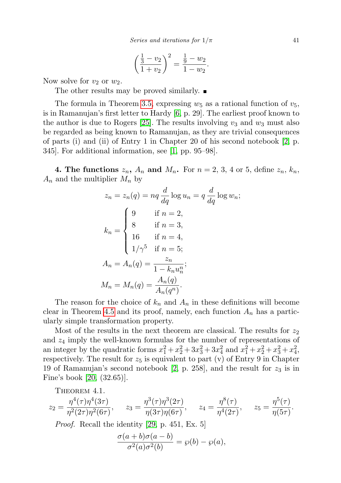$$
\left(\frac{\frac{1}{3} - v_2}{1 + v_2}\right)^2 = \frac{\frac{1}{9} - w_2}{1 - w_2}.
$$

Now solve for  $v_2$  or  $w_2$ .

The other results may be proved similarly.

The formula in Theorem [3.5,](#page-7-0) expressing  $w_5$  as a rational function of  $v_5$ , is in Ramanujan's first letter to Hardy [\[6,](#page-24-11) p. 29]. The earliest proof known to the author is due to Rogers [\[25\]](#page-25-2). The results involving  $v_3$  and  $w_3$  must also be regarded as being known to Ramanujan, as they are trivial consequences of parts (i) and (ii) of Entry 1 in Chapter 20 of his second notebook [\[2,](#page-24-2) p. 345]. For additional information, see [\[1,](#page-24-8) pp. 95–98].

**4. The functions**  $z_n$ ,  $A_n$  and  $M_n$ . For  $n = 2, 3, 4$  or 5, define  $z_n$ ,  $k_n$ ,  $A_n$  and the multiplier  $M_n$  by

$$
z_n = z_n(q) = nq \frac{d}{dq} \log u_n = q \frac{d}{dq} \log w_n;
$$
  

$$
k_n = \begin{cases} 9 & \text{if } n = 2, \\ 8 & \text{if } n = 3, \\ 16 & \text{if } n = 4, \\ 1/\gamma^5 & \text{if } n = 5; \end{cases}
$$
  

$$
A_n = A_n(q) = \frac{z_n}{1 - k_n u_n^n};
$$
  

$$
M_n = M_n(q) = \frac{A_n(q)}{A_n(q^n)}.
$$

The reason for the choice of  $k_n$  and  $A_n$  in these definitions will become clear in Theorem [4.5](#page-11-0) and its proof, namely, each function  $A_n$  has a particularly simple transformation property.

Most of the results in the next theorem are classical. The results for  $z_2$ and  $z_4$  imply the well-known formulas for the number of representations of an integer by the quadratic forms  $x_1^2 + x_2^2 + 3x_3^2 + 3x_4^2$  and  $x_1^2 + x_2^2 + x_3^2 + x_4^2$ , respectively. The result for  $z_5$  is equivalent to part (v) of Entry 9 in Chapter 19 of Ramanujan's second notebook [\[2,](#page-24-2) p. 258], and the result for  $z_3$  is in Fine's book [\[20,](#page-24-12) (32.65)].

<span id="page-8-0"></span>THEOREM 4.1.

$$
z_2 = \frac{\eta^4(\tau)\eta^4(3\tau)}{\eta^2(2\tau)\eta^2(6\tau)}, \qquad z_3 = \frac{\eta^3(\tau)\eta^3(2\tau)}{\eta(3\tau)\eta(6\tau)}, \qquad z_4 = \frac{\eta^8(\tau)}{\eta^4(2\tau)}, \qquad z_5 = \frac{\eta^5(\tau)}{\eta(5\tau)}.
$$

Proof. Recall the identity [\[29,](#page-25-3) p. 451, Ex. 5]

$$
\frac{\sigma(a+b)\sigma(a-b)}{\sigma^2(a)\sigma^2(b)} = \wp(b) - \wp(a),
$$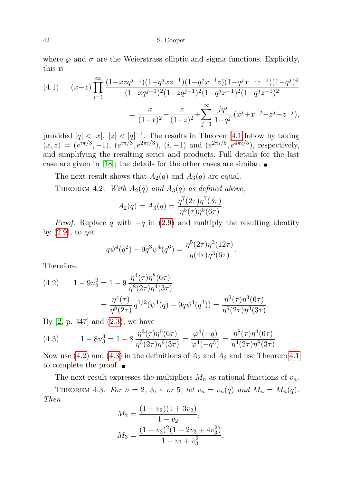where  $\wp$  and  $\sigma$  are the Weierstrass elliptic and sigma functions. Explicitly, this is

$$
(4.1) \qquad (x-z)\prod_{j=1}^{\infty} \frac{(1-xzq^{j-1})(1-q^jxz^{-1})(1-q^jx^{-1}z)(1-q^jx^{-1}z^{-1})(1-q^j)^4}{(1-xq^{j-1})^2(1-zq^{j-1})^2(1-q^jx^{-1})^2(1-q^jz^{-1})^2}
$$

$$
=\frac{x}{(1-x)^2} - \frac{z}{(1-z)^2} + \sum_{j=1}^{\infty} \frac{jq^j}{1-q^j} (x^j + x^{-j} - z^j - z^{-j}),
$$

provided  $|q| < |x|, |z| < |q|^{-1}$ . The results in Theorem [4.1](#page-8-0) follow by taking  $(x, z) = (e^{i\pi/3}, -1), (e^{i\pi/3}, e^{2\pi i/3}), (i, -1)$  and  $(e^{2\pi i/5}, e^{4\pi i/5}),$  respectively, and simplifying the resulting series and products. Full details for the last case are given in [\[18\]](#page-24-13); the details for the other cases are similar.  $\blacksquare$ 

The next result shows that  $A_2(q)$  and  $A_3(q)$  are equal.

<span id="page-9-0"></span>THEOREM 4.2. With  $A_2(q)$  and  $A_3(q)$  as defined above,

$$
A_2(q) = A_3(q) = \frac{\eta^7(2\tau)\eta^7(3\tau)}{\eta^5(\tau)\eta^5(6\tau)}.
$$

*Proof.* Replace q with  $-q$  in [\(2.9\)](#page-2-0) and multiply the resulting identity by [\(2.9\)](#page-2-0), to get

$$
q\psi^{4}(q^{2}) - 9q^{3}\psi^{4}(q^{6}) = \frac{\eta^{5}(2\tau)\eta^{3}(12\tau)}{\eta(4\tau)\eta^{3}(6\tau)}.
$$

Therefore,

(4.2) 
$$
1 - 9u_2^2 = 1 - 9 \frac{\eta^4(\tau)\eta^8(6\tau)}{\eta^8(2\tau)\eta^4(3\tau)}
$$

$$
= \frac{\eta^4(\tau)}{\eta^8(2\tau)} q^{1/2}(\psi^4(q) - 9q\psi^4(q^3)) = \frac{\eta^9(\tau)\eta^3(6\tau)}{\eta^9(2\tau)\eta^3(3\tau)}.
$$

By [\[2,](#page-24-2) p. 347] and [\(2.3\)](#page-2-0), we have

<span id="page-9-1"></span>(4.3) 
$$
1 - 8u_3^3 = 1 - 8\frac{\eta^3(\tau)\eta^9(6\tau)}{\eta^3(2\tau)\eta^9(3\tau)} = \frac{\varphi^4(-q)}{\varphi^4(-q^3)} = \frac{\eta^8(\tau)\eta^4(6\tau)}{\eta^4(2\tau)\eta^8(3\tau)}.
$$

Now use  $(4.2)$  and  $(4.3)$  in the definitions of  $A_2$  and  $A_3$  and use Theorem [4.1](#page-8-0) to complete the proof.  $\blacksquare$ 

<span id="page-9-2"></span>The next result expresses the multipliers  $M_n$  as rational functions of  $v_n$ . THEOREM 4.3. For  $n = 2, 3, 4$  or 5, let  $v_n = v_n(q)$  and  $M_n = M_n(q)$ . Then

$$
M_2 = \frac{(1 + v_2)(1 + 3v_2)}{1 - v_2},
$$
  
\n
$$
M_3 = \frac{(1 + v_3)^2(1 + 2v_3 + 4v_3^2)}{1 - v_3 + v_3^2},
$$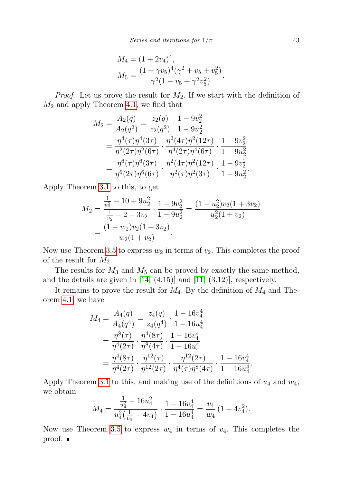$$
M_4 = (1 + 2v_4)^4,
$$
  
\n
$$
M_5 = \frac{(1 + \gamma v_5)^4(\gamma^2 + v_5 + v_5^2)}{\gamma^2(1 - v_5 + \gamma^2 v_5^2)}.
$$

*Proof.* Let us prove the result for  $M_2$ . If we start with the definition of  $M_2$  and apply Theorem [4.1,](#page-8-0) we find that

$$
M_2 = \frac{A_2(q)}{A_2(q^2)} = \frac{z_2(q)}{z_2(q^2)} \cdot \frac{1 - 9v_2^2}{1 - 9u_2^2}
$$
  
=  $\frac{\eta^4(\tau)\eta^4(3\tau)}{\eta^2(2\tau)\eta^2(6\tau)} \cdot \frac{\eta^2(4\tau)\eta^2(12\tau)}{\eta^4(2\tau)\eta^4(6\tau)} \cdot \frac{1 - 9v_2^2}{1 - 9u_2^2}$   
=  $\frac{\eta^6(\tau)\eta^6(3\tau)}{\eta^6(2\tau)\eta^6(6\tau)} \cdot \frac{\eta^2(4\tau)\eta^2(12\tau)}{\eta^2(\tau)\eta^2(3\tau)} \cdot \frac{1 - 9v_2^2}{1 - 9u_2^2}$ .

Apply Theorem [3.1](#page-4-0) to this, to get

$$
M_2 = \frac{\frac{1}{u_2^2} - 10 + 9u_2^2}{\frac{1}{v_2} - 2 - 3v_2} \cdot \frac{1 - 9v_2^2}{1 - 9u_2^2} = \frac{(1 - u_2^2)v_2(1 + 3v_2)}{u_2^2(1 + v_2)}
$$
  
= 
$$
\frac{(1 - w_2)v_2(1 + 3v_2)}{w_2(1 + v_2)}.
$$

Now use Theorem [3.5](#page-7-0) to express  $w_2$  in terms of  $v_2$ . This completes the proof of the result for  $M_2$ .

The results for  $M_3$  and  $M_5$  can be proved by exactly the same method, and the details are given in  $[14, (4.15)]$  $[14, (4.15)]$  and  $[11, (3.12)]$  $[11, (3.12)]$ , respectively.

It remains to prove the result for  $M_4$ . By the definition of  $M_4$  and Theorem [4.1,](#page-8-0) we have

$$
M_4 = \frac{A_4(q)}{A_4(q^4)} = \frac{z_4(q)}{z_4(q^4)} \cdot \frac{1 - 16v_4^4}{1 - 16u_4^4}
$$
  
=  $\frac{\eta^8(\tau)}{\eta^4(2\tau)} \cdot \frac{\eta^4(8\tau)}{\eta^8(4\tau)} \cdot \frac{1 - 16v_4^4}{1 - 16u_4^4}$   
=  $\frac{\eta^4(8\tau)}{\eta^4(2\tau)} \cdot \frac{\eta^{12}(\tau)}{\eta^{12}(2\tau)} \cdot \frac{\eta^{12}(2\tau)}{\eta^4(\tau)\eta^8(4\tau)} \cdot \frac{1 - 16v_4^4}{1 - 16u_4^4}$ .

Apply Theorem [3.1](#page-4-0) to this, and making use of the definitions of  $u_4$  and  $w_4$ , we obtain  $\Omega$ 

$$
M_4 = \frac{\frac{1}{u_4^2} - 16u_4^2}{u_4^2(\frac{1}{v_4} - 4v_4)} \cdot \frac{1 - 16v_4^4}{1 - 16u_4^4} = \frac{v_4}{w_4} \left(1 + 4v_4^2\right).
$$

<span id="page-10-0"></span>Now use Theorem [3.5](#page-7-0) to express  $w_4$  in terms of  $v_4$ . This completes the proof.  $\blacksquare$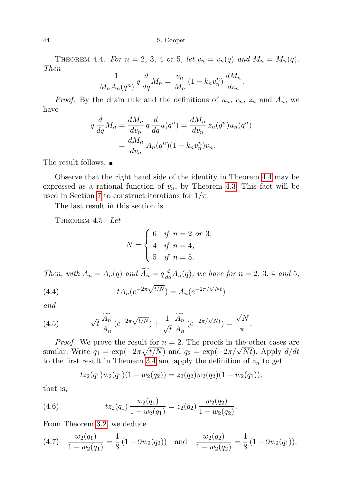THEOREM 4.4. For  $n = 2, 3, 4$  or 5, let  $v_n = v_n(q)$  and  $M_n = M_n(q)$ . Then

$$
\frac{1}{M_n A_n(q^n)} q \frac{d}{dq} M_n = \frac{v_n}{M_n} (1 - k_n v_n^n) \frac{dM_n}{dv_n}.
$$

*Proof.* By the chain rule and the definitions of  $u_n$ ,  $v_n$ ,  $z_n$  and  $A_n$ , we have

$$
q \frac{d}{dq} M_n = \frac{dM_n}{dv_n} q \frac{d}{dq} u(q^n) = \frac{dM_n}{dv_n} z_n(q^n) u_n(q^n)
$$

$$
= \frac{dM_n}{dv_n} A_n(q^n) (1 - k_n v_n^n) v_n.
$$

The result follows. ■

Observe that the right hand side of the identity in Theorem [4.4](#page-10-0) may be expressed as a rational function of  $v_n$ , by Theorem [4.3.](#page-9-2) This fact will be used in Section [7](#page-19-0) to construct iterations for  $1/\pi$ .

<span id="page-11-0"></span>The last result in this section is

THEOREM 4.5. Let

<span id="page-11-3"></span>
$$
N = \begin{cases} 6 & \text{if } n = 2 \text{ or } 3, \\ 4 & \text{if } n = 4, \\ 5 & \text{if } n = 5. \end{cases}
$$

Then, with  $A_n = A_n(q)$  and  $\widetilde{A_n} = q \frac{d}{dq} A_n(q)$ , we have for  $n = 2, 3, 4$  and 5, √

(4.4) 
$$
tA_n(e^{-2\pi\sqrt{t/N}}) = A_n(e^{-2\pi/\sqrt{Nt}})
$$

and

<span id="page-11-4"></span>(4.5) 
$$
\sqrt{t} \frac{\widetilde{A_n}}{A_n} \left( e^{-2\pi \sqrt{t/N}} \right) + \frac{1}{\sqrt{t}} \frac{\widetilde{A_n}}{A_n} \left( e^{-2\pi/\sqrt{Nt}} \right) = \frac{\sqrt{N}}{\pi}.
$$

*Proof.* We prove the result for  $n = 2$ . The proofs in the other cases are *Proof.* We prove the result for  $n = 2$ . The proofs in the other cases are similar. Write  $q_1 = \exp(-2\pi\sqrt{t/N})$  and  $q_2 = \exp(-2\pi/\sqrt{Nt})$ . Apply  $d/dt$ to the first result in Theorem [3.4](#page-7-1) and apply the definition of  $z_n$  to get

<span id="page-11-2"></span>
$$
tz_2(q_1)w_2(q_1)(1-w_2(q_2)) = z_2(q_2)w_2(q_2)(1-w_2(q_1)),
$$

that is,

(4.6) 
$$
tz_2(q_1)\frac{w_2(q_1)}{1-w_2(q_1)}=z_2(q_2)\frac{w_2(q_2)}{1-w_2(q_2)}.
$$

From Theorem [3.2,](#page-5-0) we deduce

<span id="page-11-1"></span>
$$
(4.7) \quad \frac{w_2(q_1)}{1 - w_2(q_1)} = \frac{1}{8} \left( 1 - 9w_2(q_2) \right) \quad \text{and} \quad \frac{w_2(q_2)}{1 - w_2(q_2)} = \frac{1}{8} \left( 1 - 9w_2(q_1) \right).
$$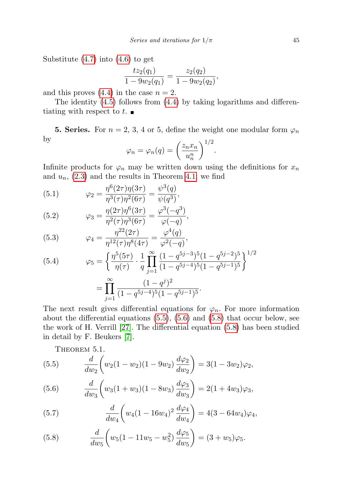Substitute [\(4.7\)](#page-11-1) into [\(4.6\)](#page-11-2) to get

$$
\frac{tz_2(q_1)}{1-9w_2(q_1)}=\frac{z_2(q_2)}{1-9w_2(q_2)},
$$

and this proves  $(4.4)$  in the case  $n = 2$ .

The identity [\(4.5\)](#page-11-4) follows from [\(4.4\)](#page-11-3) by taking logarithms and differentiating with respect to  $t$ .

<span id="page-12-1"></span>**5. Series.** For  $n = 2, 3, 4$  or 5, define the weight one modular form  $\varphi_n$ by  $1/2$ 

$$
\varphi_n = \varphi_n(q) = \left(\frac{z_n x_n}{u_n^n}\right)^{1/2}.
$$

Infinite products for  $\varphi_n$  may be written down using the definitions for  $x_n$ and  $u_n$ ,  $(2.3)$  and the results in Theorem [4.1;](#page-8-0) we find

(5.1) 
$$
\varphi_2 = \frac{\eta^6(2\tau)\eta(3\tau)}{\eta^3(\tau)\eta^2(6\tau)} = \frac{\psi^3(q)}{\psi(q^3)},
$$

(5.2) 
$$
\varphi_3 = \frac{\eta(2\tau)\eta^6(3\tau)}{\eta^2(\tau)\eta^3(6\tau)} = \frac{\varphi^3(-q^3)}{\varphi(-q)},
$$

(5.3) 
$$
\varphi_4 = \frac{\eta^{22}(2\tau)}{\eta^{12}(\tau)\eta^8(4\tau)} = \frac{\varphi^4(q)}{\varphi^2(-q)},
$$

(5.4) 
$$
\varphi_5 = \left\{ \frac{\eta^5 (5\tau)}{\eta(\tau)} \cdot \frac{1}{q} \prod_{j=1}^{\infty} \frac{(1-q^{5j-3})^5 (1-q^{5j-2})^5}{(1-q^{5j-4})^5 (1-q^{5j-1})^5} \right\}^{1/2}
$$

$$
= \prod_{j=1}^{\infty} \frac{(1-q^j)^2}{(1-q^{5j-4})^5 (1-q^{5j-1})^5}.
$$

The next result gives differential equations for  $\varphi_n$ . For more information about the differential equations [\(5.5\)](#page-12-0), [\(5.6\)](#page-12-0) and [\(5.8\)](#page-12-0) that occur below, see the work of H. Verrill [\[27\]](#page-25-4). The differential equation [\(5.8\)](#page-12-0) has been studied in detail by F. Beukers [\[7\]](#page-24-15).

<span id="page-12-0"></span>THEOREM 5.1.

(5.5) 
$$
\frac{d}{dw_2}\left(w_2(1-w_2)(1-9w_2)\frac{d\varphi_2}{dw_2}\right) = 3(1-3w_2)\varphi_2,
$$

(5.6) 
$$
\frac{d}{dw_3}\left(w_3(1+w_3)(1-8w_3)\frac{d\varphi_3}{dw_3}\right) = 2(1+4w_3)\varphi_3,
$$

(5.7) 
$$
\frac{d}{dw_4} \left( w_4 (1 - 16w_4)^2 \frac{d\varphi_4}{dw_4} \right) = 4(3 - 64w_4)\varphi_4,
$$

(5.8) 
$$
\frac{d}{dw_5}\bigg(w_5(1-11w_5-w_5^2)\frac{d\varphi_5}{dw_5}\bigg)=(3+w_5)\varphi_5.
$$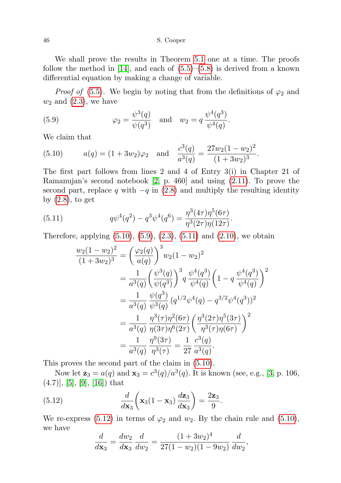We shall prove the results in Theorem [5.1](#page-12-0) one at a time. The proofs follow the method in  $[14]$ , and each of  $(5.5)$ – $(5.8)$  is derived from a known differential equation by making a change of variable.

*Proof of* [\(5.5\)](#page-12-0). We begin by noting that from the definitions of  $\varphi_2$  and  $w_2$  and  $(2.3)$ , we have

<span id="page-13-1"></span>(5.9) 
$$
\varphi_2 = \frac{\psi^3(q)}{\psi(q^3)}
$$
 and  $w_2 = q \frac{\psi^4(q^3)}{\psi^4(q)}$ .

We claim that

<span id="page-13-0"></span>(5.10) 
$$
a(q) = (1 + 3w_2)\varphi_2
$$
 and  $\frac{c^3(q)}{a^3(q)} = \frac{27w_2(1 - w_2)^2}{(1 + 3w_2)^3}$ .

The first part follows from lines 2 and 4 of Entry 3(i) in Chapter 21 of Ramanujan's second notebook [\[2,](#page-24-2) p. 460] and using [\(2.11\)](#page-2-1). To prove the second part, replace q with  $-q$  in [\(2.8\)](#page-2-0) and multiply the resulting identity by [\(2.8\)](#page-2-0), to get

(5.11) 
$$
q\psi^4(q^2) - q^3\psi^4(q^6) = \frac{\eta^3(4\tau)\eta^5(6\tau)}{\eta^3(2\tau)\eta(12\tau)}.
$$

Therefore, applying  $(5.10)$ ,  $(5.9)$ ,  $(2.3)$ ,  $(5.11)$  and  $(2.10)$ , we obtain

<span id="page-13-2"></span>
$$
\frac{w_2(1-w_2)^2}{(1+3w_2)^3} = \left(\frac{\varphi_2(q)}{a(q)}\right)^3 w_2(1-w_2)^2
$$
  
= 
$$
\frac{1}{a^3(q)} \left(\frac{\psi^3(q)}{\psi(q^3)}\right)^3 q \frac{\psi^4(q^3)}{\psi^4(q)} \left(1-q \frac{\psi^4(q^3)}{\psi^4(q)}\right)^2
$$
  
= 
$$
\frac{1}{a^3(q)} \frac{\psi(q^3)}{\psi^3(q)} (q^{1/2}\psi^4(q) - q^{3/2}\psi^4(q^3))^2
$$
  
= 
$$
\frac{1}{a^3(q)} \frac{\eta^3(\tau)\eta^2(6\tau)}{\eta(3\tau)\eta^6(2\tau)} \left(\frac{\eta^3(2\tau)\eta^5(3\tau)}{\eta^3(\tau)\eta(6\tau)}\right)^2
$$
  
= 
$$
\frac{1}{a^3(q)} \frac{\eta^9(3\tau)}{\eta^3(\tau)} = \frac{1}{27} \frac{c^3(q)}{a^3(q)}.
$$

This proves the second part of the claim in [\(5.10\)](#page-13-0).

Now let  $z_3 = a(q)$  and  $x_3 = c^3(q)/a^3(q)$ . It is known (see, e.g., [\[3,](#page-24-4) p. 106,  $(4.7)$ ], [\[5\]](#page-24-16), [\[9\]](#page-24-17), [\[16\]](#page-24-18)) that

(5.12) 
$$
\frac{d}{d\mathbf{x}_3} \left( \mathbf{x}_3 (1 - \mathbf{x}_3) \frac{d\mathbf{z}_3}{d\mathbf{x}_3} \right) = \frac{2\mathbf{z}_3}{9}.
$$

We re-express [\(5.12\)](#page-13-3) in terms of  $\varphi_2$  and  $w_2$ . By the chain rule and [\(5.10\)](#page-13-0), we have

<span id="page-13-3"></span>
$$
\frac{d}{d\mathbf{x}_3} = \frac{dw_2}{dx_3}\frac{d}{dw_2} = \frac{(1+3w_2)^4}{27(1-w_2)(1-9w_2)}\frac{d}{dw_2},
$$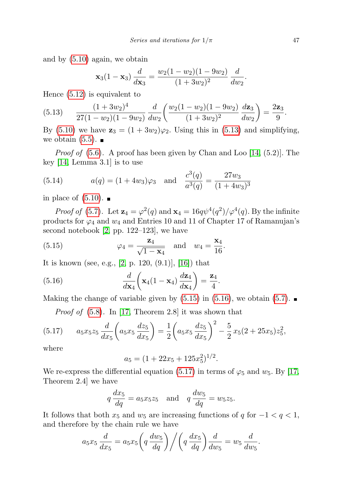and by [\(5.10\)](#page-13-0) again, we obtain

$$
\mathbf{x}_3(1-\mathbf{x}_3)\,\frac{d}{d\mathbf{x}_3}=\frac{w_2(1-w_2)(1-9w_2)}{(1+3w_2)^2}\,\frac{d}{dw_2}.
$$

Hence [\(5.12\)](#page-13-3) is equivalent to

<span id="page-14-0"></span>(5.13) 
$$
\frac{(1+3w_2)^4}{27(1-w_2)(1-9w_2)}\frac{d}{dw_2}\left(\frac{w_2(1-w_2)(1-9w_2)}{(1+3w_2)^2}\frac{dz_3}{dw_2}\right)=\frac{2z_3}{9}.
$$

By [\(5.10\)](#page-13-0) we have  $\mathbf{z}_3 = (1 + 3w_2)\varphi_2$ . Using this in [\(5.13\)](#page-14-0) and simplifying, we obtain  $(5.5)$ .

*Proof of*  $(5.6)$ . A proof has been given by Chan and Loo [\[14,](#page-24-0)  $(5.2)$ ]. The key [\[14,](#page-24-0) Lemma 3.1] is to use

<span id="page-14-4"></span>(5.14) 
$$
a(q) = (1 + 4w_3)\varphi_3
$$
 and  $\frac{c^3(q)}{a^3(q)} = \frac{27w_3}{(1 + 4w_3)^3}$ 

in place of  $(5.10)$ .

*Proof of* [\(5.7\)](#page-12-0). Let  $\mathbf{z}_4 = \varphi^2(q)$  and  $\mathbf{x}_4 = 16q\psi^4(q^2)/\varphi^4(q)$ . By the infinite products for  $\varphi_4$  and  $w_4$  and Entries 10 and 11 of Chapter 17 of Ramanujan's second notebook [\[2,](#page-24-2) pp. 122–123], we have

<span id="page-14-1"></span>(5.15) 
$$
\varphi_4 = \frac{\mathbf{z}_4}{\sqrt{1-\mathbf{x}_4}} \quad \text{and} \quad w_4 = \frac{\mathbf{x}_4}{16}.
$$

It is known (see, e.g., [\[2,](#page-24-2) p. 120,  $(9.1)$ ], [\[16\]](#page-24-18)) that

(5.16) 
$$
\frac{d}{d\mathbf{x}_4} \left( \mathbf{x}_4 (1 - \mathbf{x}_4) \frac{d\mathbf{z}_4}{d\mathbf{x}_4} \right) = \frac{\mathbf{z}_4}{4}.
$$

Making the change of variable given by  $(5.15)$  in  $(5.16)$ , we obtain  $(5.7)$ .

<span id="page-14-3"></span><span id="page-14-2"></span>*Proof of*  $(5.8)$ . In [\[17,](#page-24-19) Theorem 2.8] it was shown that

$$
(5.17) \qquad a_5x_5z_5\frac{d}{dx_5}\left(a_5x_5\frac{dz_5}{dx_5}\right)=\frac{1}{2}\left(a_5x_5\frac{dz_5}{dx_5}\right)^2-\frac{5}{2}x_5(2+25x_5)z_5^2,
$$

where

$$
a_5 = (1 + 22x_5 + 125x_5^2)^{1/2}.
$$

We re-express the differential equation [\(5.17\)](#page-14-3) in terms of  $\varphi_5$  and  $w_5$ . By [\[17,](#page-24-19) Theorem 2.4] we have

$$
q\frac{dx_5}{dq} = a_5x_5z_5 \quad \text{and} \quad q\frac{dw_5}{dq} = w_5z_5.
$$

It follows that both  $x_5$  and  $w_5$  are increasing functions of q for  $-1 < q < 1$ , and therefore by the chain rule we have

$$
a_5x_5\frac{d}{dx_5} = a_5x_5\left(q\frac{dw_5}{dq}\right) \bigg/ \bigg(q\frac{dx_5}{dq}\bigg)\frac{d}{dw_5} = w_5\frac{d}{dw_5}.
$$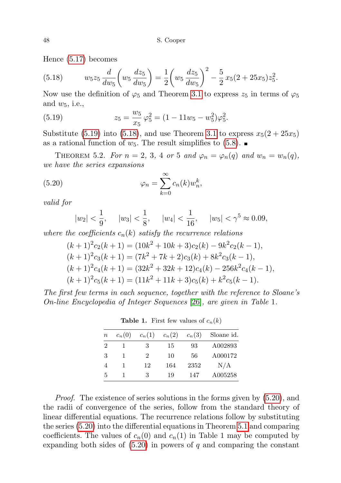Hence [\(5.17\)](#page-14-3) becomes

<span id="page-15-1"></span>(5.18) 
$$
w_5 z_5 \frac{d}{dw_5} \left( w_5 \frac{dz_5}{dw_5} \right) = \frac{1}{2} \left( w_5 \frac{dz_5}{dw_5} \right)^2 - \frac{5}{2} x_5 (2 + 25x_5) z_5^2.
$$

Now use the definition of  $\varphi_5$  and Theorem [3.1](#page-4-0) to express  $z_5$  in terms of  $\varphi_5$ and  $w_5$ , i.e.,

<span id="page-15-0"></span>(5.19) 
$$
z_5 = \frac{w_5}{x_5} \varphi_5^2 = (1 - 11w_5 - w_5^2)\varphi_5^2.
$$

Substitute [\(5.19\)](#page-15-0) into [\(5.18\)](#page-15-1), and use Theorem [3.1](#page-4-0) to express  $x_5(2+25x_5)$ as a rational function of  $w_5$ . The result simplifies to [\(5.8\)](#page-12-0).

<span id="page-15-3"></span>THEOREM 5.2. For  $n = 2, 3, 4$  or 5 and  $\varphi_n = \varphi_n(q)$  and  $w_n = w_n(q)$ , we have the series expansions

(5.20) 
$$
\varphi_n = \sum_{k=0}^{\infty} c_n(k) w_n^k,
$$

valid for

<span id="page-15-2"></span>
$$
|w_2| < \frac{1}{9}
$$
,  $|w_3| < \frac{1}{8}$ ,  $|w_4| < \frac{1}{16}$ ,  $|w_5| < \gamma^5 \approx 0.09$ ,

where the coefficients  $c_n(k)$  satisfy the recurrence relations

$$
(k+1)^{2}c_{2}(k+1) = (10k^{2} + 10k + 3)c_{2}(k) - 9k^{2}c_{2}(k-1),
$$
  
\n
$$
(k+1)^{2}c_{3}(k+1) = (7k^{2} + 7k + 2)c_{3}(k) + 8k^{2}c_{3}(k-1),
$$
  
\n
$$
(k+1)^{2}c_{4}(k+1) = (32k^{2} + 32k + 12)c_{4}(k) - 256k^{2}c_{4}(k-1),
$$
  
\n
$$
(k+1)^{2}c_{5}(k+1) = (11k^{2} + 11k + 3)c_{5}(k) + k^{2}c_{5}(k-1).
$$

The first few terms in each sequence, together with the reference to Sloane's On-line Encyclopedia of Integer Sequences [\[26\]](#page-25-5), are given in Table 1.

| $\it n$ | $c_n(0)$ | $c_n(1)$      | $c_n(2)$ | $c_n(3)$ | Sloane id. |
|---------|----------|---------------|----------|----------|------------|
| 2       |          | З             | 15       | 93       | A002893    |
| 3       |          | $\mathcal{D}$ | 10       | 56       | A000172    |
| 4       |          | 12            | 164      | 2352     | N/A        |
| 5       |          | 3             | 19       | 147      | A005258    |

**Table 1.** First few values of  $c_n(k)$ 

Proof. The existence of series solutions in the forms given by [\(5.20\)](#page-15-2), and the radii of convergence of the series, follow from the standard theory of linear differential equations. The recurrence relations follow by substituting the series [\(5.20\)](#page-15-2) into the differential equations in Theorem [5.1](#page-12-0) and comparing coefficients. The values of  $c_n(0)$  and  $c_n(1)$  in Table 1 may be computed by expanding both sides of  $(5.20)$  in powers of q and comparing the constant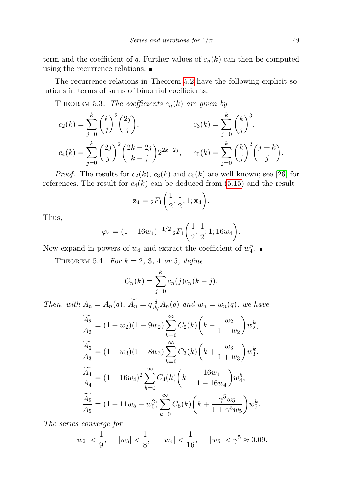term and the coefficient of q. Further values of  $c_n(k)$  can then be computed using the recurrence relations.

The recurrence relations in Theorem [5.2](#page-15-3) have the following explicit solutions in terms of sums of binomial coefficients.

THEOREM 5.3. The coefficients  $c_n(k)$  are given by

$$
c_2(k) = \sum_{j=0}^k {k \choose j}^2 {2j \choose j}, \qquad c_3(k) = \sum_{j=0}^k {k \choose j}^3,
$$
  

$$
c_4(k) = \sum_{j=0}^k {2j \choose j}^2 {2k - 2j \choose k - j} 2^{2k - 2j}, \qquad c_5(k) = \sum_{j=0}^k {k \choose j}^2 {j + k \choose j}.
$$

*Proof.* The results for  $c_2(k)$ ,  $c_3(k)$  and  $c_5(k)$  are well-known; see [\[26\]](#page-25-5) for references. The result for  $c_4(k)$  can be deduced from [\(5.15\)](#page-14-1) and the result

$$
\mathbf{z}_4 = {}_2F_1\bigg(\frac{1}{2}, \frac{1}{2}; 1; \mathbf{x}_4\bigg).
$$

Thus,

$$
\varphi_4 = (1 - 16w_4)^{-1/2} {}_2F_1\left(\frac{1}{2}, \frac{1}{2}; 1; 16w_4\right).
$$

Now expand in powers of  $w_4$  and extract the coefficient of  $w_4^n$ .

<span id="page-16-0"></span>THEOREM 5.4. For  $k = 2, 3, 4$  or 5, define

$$
C_n(k) = \sum_{j=0}^{k} c_n(j)c_n(k-j).
$$

Then, with  $A_n = A_n(q)$ ,  $\widetilde{A_n} = q \frac{d}{dq} A_n(q)$  and  $w_n = w_n(q)$ , we have

$$
\begin{aligned}\n\widetilde{\frac{A_2}{A_2}} &= (1 - w_2)(1 - 9w_2) \sum_{k=0}^{\infty} C_2(k) \left( k - \frac{w_2}{1 - w_2} \right) w_2^k, \\
\widetilde{\frac{A_3}{A_3}} &= (1 + w_3)(1 - 8w_3) \sum_{k=0}^{\infty} C_3(k) \left( k + \frac{w_3}{1 + w_3} \right) w_3^k, \\
\widetilde{\frac{A_4}{A_4}} &= (1 - 16w_4)^2 \sum_{k=0}^{\infty} C_4(k) \left( k - \frac{16w_4}{1 - 16w_4} \right) w_4^k, \\
\widetilde{\frac{A_5}{A_5}} &= (1 - 11w_5 - w_5^2) \sum_{k=0}^{\infty} C_5(k) \left( k + \frac{\gamma^5 w_5}{1 + \gamma^5 w_5} \right) w_5^k.\n\end{aligned}
$$

The series converge for

$$
|w_2| < \frac{1}{9}
$$
,  $|w_3| < \frac{1}{8}$ ,  $|w_4| < \frac{1}{16}$ ,  $|w_5| < \gamma^5 \approx 0.09$ .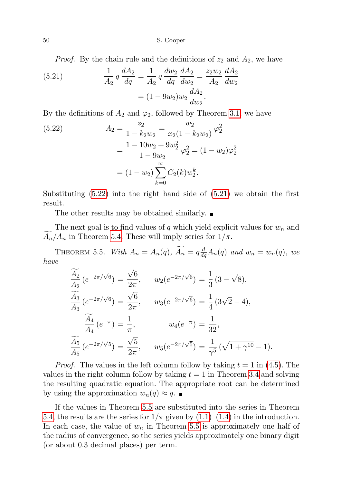*Proof.* By the chain rule and the definitions of  $z_2$  and  $A_2$ , we have

<span id="page-17-0"></span>(5.21) 
$$
\frac{1}{A_2} q \frac{dA_2}{dq} = \frac{1}{A_2} q \frac{dw_2}{dq} \frac{dA_2}{dw_2} = \frac{z_2 w_2}{A_2} \frac{dA_2}{dw_2}
$$

$$
= (1 - 9w_2)w_2 \frac{dA_2}{dw_2}.
$$

By the definitions of  $A_2$  and  $\varphi_2$ , followed by Theorem [3.1,](#page-4-0) we have

(5.22) 
$$
A_2 = \frac{z_2}{1 - k_2 w_2} = \frac{w_2}{x_2 (1 - k_2 w_2)} \varphi_2^2
$$

$$
= \frac{1 - 10w_2 + 9w_2^2}{1 - 9w_2} \varphi_2^2 = (1 - w_2) \varphi_2^2
$$

$$
= (1 - w_2) \sum_{k=0}^{\infty} C_2(k) w_2^k.
$$

Substituting  $(5.22)$  into the right hand side of  $(5.21)$  we obtain the first result.

The other results may be obtained similarly.

The next goal is to find values of q which yield explicit values for  $w_n$  and  $A_n/A_n$  in Theorem [5.4.](#page-16-0) These will imply series for  $1/\pi$ .

<span id="page-17-1"></span>THEOREM 5.5. With  $A_n = A_n(q)$ ,  $\widetilde{A_n} = q \frac{d}{dq} A_n(q)$  and  $w_n = w_n(q)$ , we have √

$$
\frac{\widetilde{A_2}}{A_2} (e^{-2\pi/\sqrt{6}}) = \frac{\sqrt{6}}{2\pi}, \qquad w_2(e^{-2\pi/\sqrt{6}}) = \frac{1}{3} (3 - \sqrt{8}),
$$
  

$$
\frac{\widetilde{A_3}}{A_3} (e^{-2\pi/\sqrt{6}}) = \frac{\sqrt{6}}{2\pi}, \qquad w_3(e^{-2\pi/\sqrt{6}}) = \frac{1}{4} (3\sqrt{2} - 4),
$$
  

$$
\frac{\widetilde{A_4}}{A_4} (e^{-\pi}) = \frac{1}{\pi}, \qquad w_4(e^{-\pi}) = \frac{1}{32},
$$
  

$$
\frac{\widetilde{A_5}}{A_5} (e^{-2\pi/\sqrt{5}}) = \frac{\sqrt{5}}{2\pi}, \qquad w_5(e^{-2\pi/\sqrt{5}}) = \frac{1}{\gamma^5} (\sqrt{1 + \gamma^{10}} - 1).
$$

*Proof.* The values in the left column follow by taking  $t = 1$  in [\(4.5\)](#page-11-4). The values in the right column follow by taking  $t = 1$  in Theorem [3.4](#page-7-1) and solving the resulting quadratic equation. The appropriate root can be determined by using the approximation  $w_n(q) \approx q$ .

If the values in Theorem [5.5](#page-17-1) are substituted into the series in Theorem [5.4,](#page-16-0) the results are the series for  $1/\pi$  given by  $(1.1)$ – $(1.4)$  in the introduction. In each case, the value of  $w_n$  in Theorem [5.5](#page-17-1) is approximately one half of the radius of convergence, so the series yields approximately one binary digit (or about 0.3 decimal places) per term.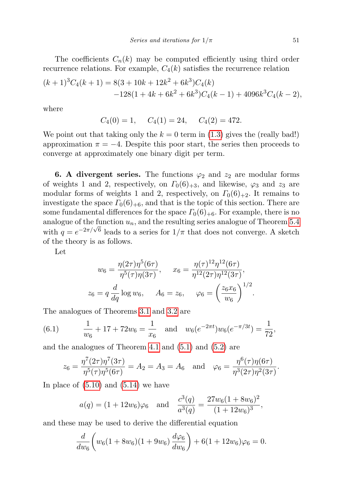The coefficients  $C_n(k)$  may be computed efficiently using third order recurrence relations. For example,  $C_4(k)$  satisfies the recurrence relation

$$
(k+1)^3 C_4(k+1) = 8(3+10k+12k^2+6k^3)C_4(k)
$$
  
-128(1+4k+6k<sup>2</sup>+6k<sup>3</sup>)C<sub>4</sub>(k-1) + 4096k<sup>3</sup>C<sub>4</sub>(k-2),

where

$$
C_4(0) = 1
$$
,  $C_4(1) = 24$ ,  $C_4(2) = 472$ .

We point out that taking only the  $k = 0$  term in [\(1.3\)](#page-0-2) gives the (really bad!) approximation  $\pi = -4$ . Despite this poor start, the series then proceeds to converge at approximately one binary digit per term.

**6. A divergent series.** The functions  $\varphi_2$  and  $z_2$  are modular forms of weights 1 and 2, respectively, on  $\Gamma_0(6)_{+3}$ , and likewise,  $\varphi_3$  and  $z_3$  are modular forms of weights 1 and 2, respectively, on  $\Gamma_0(6)_{+2}$ . It remains to investigate the space  $\Gamma_0(6)_{+6}$ , and that is the topic of this section. There are some fundamental differences for the space  $\Gamma_0(6)_{+6}$ . For example, there is no analogue of the function  $u_n$ , and the resulting series analogue of Theorem [5.4](#page-16-0) with  $q = e^{-2\pi/\sqrt{6}}$  leads to a series for  $1/\pi$  that does not converge. A sketch of the theory is as follows.

Let

$$
w_6 = \frac{\eta(2\tau)\eta^5(6\tau)}{\eta^5(\tau)\eta(3\tau)}, \qquad x_6 = \frac{\eta(\tau)^{12}\eta^{12}(6\tau)}{\eta^{12}(2\tau)\eta^{12}(3\tau)},
$$
  

$$
z_6 = q\frac{d}{dq}\log w_6, \qquad A_6 = z_6, \qquad \varphi_6 = \left(\frac{z_6x_6}{w_6}\right)^{1/2}.
$$

The analogues of Theorems [3.1](#page-4-0) and [3.2](#page-5-0) are

<span id="page-18-0"></span>(6.1) 
$$
\frac{1}{w_6} + 17 + 72w_6 = \frac{1}{x_6} \text{ and } w_6(e^{-2\pi t})w_6(e^{-\pi/3t}) = \frac{1}{72},
$$

and the analogues of Theorem [4.1](#page-8-0) and [\(5.1\)](#page-12-1) and [\(5.2\)](#page-12-1) are

$$
z_6 = \frac{\eta^7(2\tau)\eta^7(3\tau)}{\eta^5(\tau)\eta^5(6\tau)} = A_2 = A_3 = A_6 \text{ and } \varphi_6 = \frac{\eta^6(\tau)\eta(6\tau)}{\eta^3(2\tau)\eta^2(3\tau)}.
$$

In place of  $(5.10)$  and  $(5.14)$  we have

$$
a(q) = (1 + 12w_6)\varphi_6
$$
 and  $\frac{c^3(q)}{a^3(q)} = \frac{27w_6(1 + 8w_6)^2}{(1 + 12w_6)^3}$ ,

and these may be used to derive the differential equation

$$
\frac{d}{dw_6}\bigg(w_6(1+8w_6)(1+9w_6)\frac{d\varphi_6}{dw_6}\bigg)+6(1+12w_6)\varphi_6=0.
$$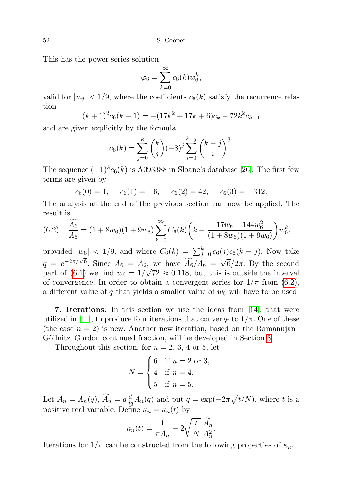This has the power series solution

$$
\varphi_6 = \sum_{k=0}^{\infty} c_6(k) w_6^k,
$$

valid for  $|w_6|$  < 1/9, where the coefficients  $c_6(k)$  satisfy the recurrence relation

$$
(k+1)^2 c_6(k+1) = -(17k^2 + 17k + 6)c_k - 72k^2 c_{k-1}
$$

and are given explicitly by the formula

$$
c_6(k) = \sum_{j=0}^k {k \choose j} (-8)^j \sum_{i=0}^{k-j} {k-j \choose i}^3.
$$

The sequence  $(-1)^k c_6(k)$  is A093388 in Sloane's database [\[26\]](#page-25-5). The first few terms are given by

$$
c_6(0) = 1
$$
,  $c_6(1) = -6$ ,  $c_6(2) = 42$ ,  $c_6(3) = -312$ .

The analysis at the end of the previous section can now be applied. The result is

<span id="page-19-1"></span>
$$
(6.2) \quad \frac{\widetilde{A_6}}{A_6} = (1 + 8w_6)(1 + 9w_6) \sum_{k=0}^{\infty} C_6(k) \left( k + \frac{17w_6 + 144w_6^2}{(1 + 8w_6)(1 + 9w_6)} \right) w_6^k,
$$

provided  $|w_6|$  < 1/9, and where  $C_6(k) = \sum_{j=0}^{k} c_6(j)c_6(k-j)$ . Now take  $q = e^{-2\pi/\sqrt{6}}$ . Since  $A_6 = A_2$ , we have  $\widetilde{A_6}/A_6 =$ √ 2, we have  $A_6/A_6 = \sqrt{6}/2\pi$ . By the second part of [\(6.1\)](#page-18-0) we find  $w_6 = 1/\sqrt{72} \approx 0.118$ , but this is outside the interval of convergence. In order to obtain a convergent series for  $1/\pi$  from [\(6.2\)](#page-19-1), a different value of q that yields a smaller value of  $w_6$  will have to be used.

<span id="page-19-0"></span>7. Iterations. In this section we use the ideas from [\[14\]](#page-24-0), that were utilized in [\[11\]](#page-24-14), to produce four iterations that converge to  $1/\pi$ . One of these (the case  $n = 2$ ) is new. Another new iteration, based on the Ramanujan– Göllnitz–Gordon continued fraction, will be developed in Section [8.](#page-21-0)

Throughout this section, for  $n = 2, 3, 4$  or 5, let

$$
N = \begin{cases} 6 & \text{if } n = 2 \text{ or } 3, \\ 4 & \text{if } n = 4, \\ 5 & \text{if } n = 5. \end{cases}
$$

Let  $A_n = A_n(q)$ ,  $\widetilde{A_n} = q \frac{d}{dq} A_n(q)$  and put  $q = \exp(-2\pi \sqrt{t/N})$ , where t is a positive real variable. Define  $\kappa_n = \kappa_n(t)$  by

$$
\kappa_n(t) = \frac{1}{\pi A_n} - 2\sqrt{\frac{t}{N}} \frac{\widetilde{A_n}}{A_n^2}.
$$

Iterations for  $1/\pi$  can be constructed from the following properties of  $\kappa_n$ .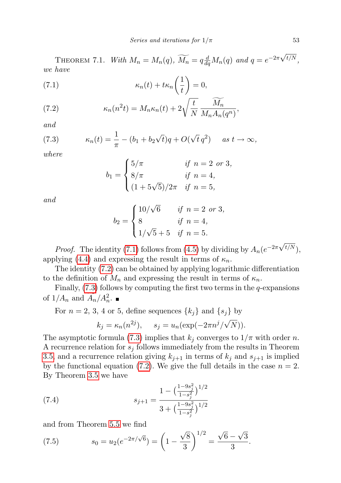THEOREM 7.1. With  $M_n = M_n(q)$ ,  $\widetilde{M_n} = q \frac{d}{dq} M_n(q)$  and  $q = e^{-2\pi \sqrt{q}}$  $t/N$ , we have

<span id="page-20-0"></span>(7.1) 
$$
\kappa_n(t) + t\kappa_n\left(\frac{1}{t}\right) = 0,
$$

<span id="page-20-1"></span>(7.2) 
$$
\kappa_n(n^2t) = M_n \kappa_n(t) + 2\sqrt{\frac{t}{N}} \frac{\widetilde{M}_n}{M_n A_n(q^n)},
$$

and

(7.3) 
$$
\kappa_n(t) = \frac{1}{\pi} - (b_1 + b_2\sqrt{t})q + O(\sqrt{t}q^2) \quad \text{as } t \to \infty,
$$

where

<span id="page-20-2"></span>
$$
b_1 = \begin{cases} 5/\pi & \text{if } n = 2 \text{ or } 3, \\ 8/\pi & \text{if } n = 4, \\ (1 + 5\sqrt{5})/2\pi & \text{if } n = 5, \end{cases}
$$

and

$$
b_2 = \begin{cases} 10/\sqrt{6} & \text{if } n = 2 \text{ or } 3, \\ 8 & \text{if } n = 4, \\ 1/\sqrt{5} + 5 & \text{if } n = 5. \end{cases}
$$

*Proof.* The identity [\(7.1\)](#page-20-0) follows from [\(4.5\)](#page-11-4) by dividing by  $A_n(e^{-2\pi\sqrt{\pi}})$  $^{t/N}),$ applying [\(4.4\)](#page-11-3) and expressing the result in terms of  $\kappa_n$ .

The identity [\(7.2\)](#page-20-1) can be obtained by applying logarithmic differentiation to the definition of  $M_n$  and expressing the result in terms of  $\kappa_n$ .

Finally,  $(7.3)$  follows by computing the first two terms in the  $q$ -expansions of  $1/A_n$  and  $\widetilde{A_n}/A_n^2$ .

For 
$$
n = 2, 3, 4
$$
 or 5, define sequences  $\{k_j\}$  and  $\{s_j\}$  by  

$$
k_j = \kappa_n(n^{2j}), \quad s_j = u_n(\exp(-2\pi n^j/\sqrt{N})).
$$

The asymptotic formula [\(7.3\)](#page-20-2) implies that  $k_j$  converges to  $1/\pi$  with order n. A recurrence relation for  $s_j$  follows immediately from the results in Theorem [3.5,](#page-7-0) and a recurrence relation giving  $k_{j+1}$  in terms of  $k_j$  and  $s_{j+1}$  is implied by the functional equation [\(7.2\)](#page-20-1). We give the full details in the case  $n = 2$ . By Theorem [3.5](#page-7-0) we have

<span id="page-20-4"></span>(7.4) 
$$
s_{j+1} = \frac{1 - \left(\frac{1 - 9s_j^2}{1 - s_j^2}\right)^{1/2}}{3 + \left(\frac{1 - 9s_j^2}{1 - s_j^2}\right)^{1/2}}
$$

and from Theorem [5.5](#page-17-1) we find

<span id="page-20-3"></span>(7.5) 
$$
s_0 = u_2(e^{-2\pi/\sqrt{6}}) = \left(1 - \frac{\sqrt{8}}{3}\right)^{1/2} = \frac{\sqrt{6} - \sqrt{3}}{3}.
$$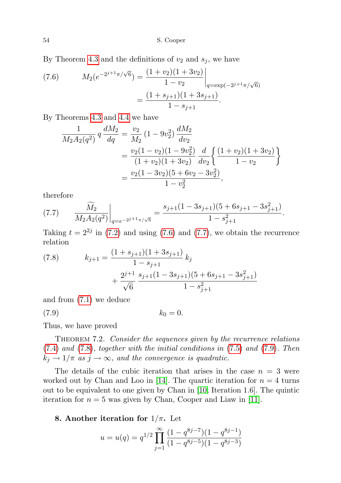By Theorem [4.3](#page-9-2) and the definitions of  $v_2$  and  $s_j$ , we have

(7.6) 
$$
M_2(e^{-2^{j+1}\pi/\sqrt{6}}) = \frac{(1+v_2)(1+3v_2)}{1-v_2}\Big|_{q=\exp(-2^{j+1}\pi/\sqrt{6})}
$$

$$
= \frac{(1+s_{j+1})(1+3s_{j+1})}{1-s_{j+1}}.
$$

By Theorems [4.3](#page-9-2) and [4.4](#page-10-0) we have

$$
\frac{1}{M_2 A_2(q^2)} q \frac{dM_2}{dq} = \frac{v_2}{M_2} (1 - 9v_2^2) \frac{dM_2}{dv_2}
$$
  
= 
$$
\frac{v_2(1 - v_2)(1 - 9v_2^2)}{(1 + v_2)(1 + 3v_2)} \frac{d}{dv_2} \left\{ \frac{(1 + v_2)(1 + 3v_2)}{1 - v_2} \right\}
$$
  
= 
$$
\frac{v_2(1 - 3v_2)(5 + 6v_2 - 3v_2^2)}{1 - v_2^2},
$$

therefore

<span id="page-21-1"></span>(7.7) 
$$
\frac{\widetilde{M}_2}{M_2 A_2(q^2)}\bigg|_{q=e^{-2j+1}\pi/\sqrt{6}} = \frac{s_{j+1}(1-3s_{j+1})(5+6s_{j+1}-3s_{j+1}^2)}{1-s_{j+1}^2}.
$$

Taking  $t = 2^{2j}$  in [\(7.2\)](#page-20-1) and using [\(7.6\)](#page-20-3) and [\(7.7\)](#page-21-1), we obtain the recurrence relation

<span id="page-21-2"></span>(7.8) 
$$
k_{j+1} = \frac{(1+s_{j+1})(1+3s_{j+1})}{1-s_{j+1}} k_j + \frac{2^{j+1} s_{j+1}(1-3s_{j+1})(5+6s_{j+1}-3s_{j+1}^2)}{1-s_{j+1}^2}
$$

and from [\(7.1\)](#page-20-0) we deduce

<span id="page-21-3"></span>
$$
k_0 = 0.
$$

Thus, we have proved

THEOREM 7.2. Consider the sequences given by the recurrence relations [\(7.4\)](#page-20-4) and [\(7.8\)](#page-21-2), together with the initial conditions in [\(7.5\)](#page-20-3) and [\(7.9\)](#page-21-3). Then  $k_j \rightarrow 1/\pi$  as  $j \rightarrow \infty$ , and the convergence is quadratic.

The details of the cubic iteration that arises in the case  $n = 3$  were worked out by Chan and Loo in [\[14\]](#page-24-0). The quartic iteration for  $n = 4$  turns out to be equivalent to one given by Chan in [\[10,](#page-24-20) Iteration 1.6]. The quintic iteration for  $n = 5$  was given by Chan, Cooper and Liaw in [\[11\]](#page-24-14).

## <span id="page-21-0"></span>8. Another iteration for  $1/\pi$ . Let

$$
u = u(q) = q^{1/2} \prod_{j=1}^{\infty} \frac{(1 - q^{8j - 7})(1 - q^{8j - 1})}{(1 - q^{8j - 5})(1 - q^{8j - 3})}
$$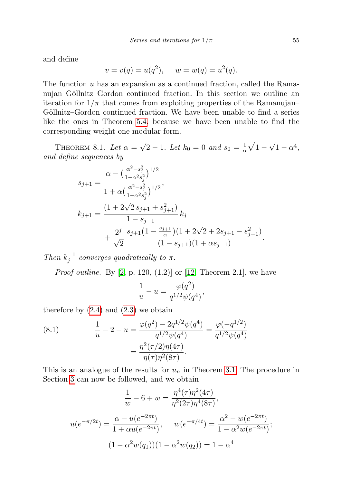and define

$$
v = v(q) = u(q^2), \quad w = w(q) = u^2(q).
$$

The function  $u$  has an expansion as a continued fraction, called the Ramanujan–Göllnitz–Gordon continued fraction. In this section we outline an iteration for  $1/\pi$  that comes from exploiting properties of the Ramanujan– Göllnitz–Gordon continued fraction. We have been unable to find a series like the ones in Theorem [5.4,](#page-16-0) because we have been unable to find the corresponding weight one modular form.

<span id="page-22-0"></span>THEOREM 8.1. Let  $\alpha = \sqrt{\ }$  $\sqrt{2} - 1$ . Let  $k_0 = 0$  and  $s_0 = \frac{1}{0}$  $rac{1}{\alpha}\sqrt{1-\alpha}$ √  $\overline{1-\alpha^4},$ and define sequences by

$$
s_{j+1} = \frac{\alpha - \left(\frac{\alpha^2 - s_j^2}{1 - \alpha^2 s_j^2}\right)^{1/2}}{1 + \alpha \left(\frac{\alpha^2 - s_j^2}{1 - \alpha^2 s_j^2}\right)^{1/2}},
$$
  
\n
$$
k_{j+1} = \frac{\left(1 + 2\sqrt{2} s_{j+1} + s_{j+1}^2\right)}{1 - s_{j+1}} k_j
$$
  
\n
$$
+ \frac{2^j}{\sqrt{2}} \frac{s_{j+1} \left(1 - \frac{s_{j+1}}{\alpha}\right) \left(1 + 2\sqrt{2} + 2s_{j+1} - s_{j+1}^2\right)}{(1 - s_{j+1}) \left(1 + \alpha s_{j+1}\right)}.
$$

Then  $k_j^{-1}$  converges quadratically to  $\pi$ .

*Proof outline.* By  $[2, p. 120, (1.2)]$  $[2, p. 120, (1.2)]$  or  $[12, Theorem 2.1]$  $[12, Theorem 2.1]$ , we have

$$
\frac{1}{u}-u=\frac{\varphi(q^2)}{q^{1/2}\psi(q^4)},
$$

therefore by  $(2.4)$  and  $(2.3)$  we obtain

(8.1) 
$$
\frac{1}{u} - 2 - u = \frac{\varphi(q^2) - 2q^{1/2}\psi(q^4)}{q^{1/2}\psi(q^4)} = \frac{\varphi(-q^{1/2})}{q^{1/2}\psi(q^4)} = \frac{\eta^2(\tau/2)\eta(4\tau)}{\eta(\tau)\eta^2(8\tau)}.
$$

This is an analogue of the results for  $u_n$  in Theorem [3.1.](#page-4-0) The procedure in Section [3](#page-3-2) can now be followed, and we obtain

$$
\frac{1}{w} - 6 + w = \frac{\eta^4(\tau)\eta^2(4\tau)}{\eta^2(2\tau)\eta^4(8\tau)},
$$
  

$$
u(e^{-\pi/2t}) = \frac{\alpha - u(e^{-2\pi t})}{1 + \alpha u(e^{-2\pi t})}, \qquad w(e^{-\pi/4t}) = \frac{\alpha^2 - w(e^{-2\pi t})}{1 - \alpha^2 w(e^{-2\pi t})};
$$
  

$$
(1 - \alpha^2 w(q_1))(1 - \alpha^2 w(q_2)) = 1 - \alpha^4
$$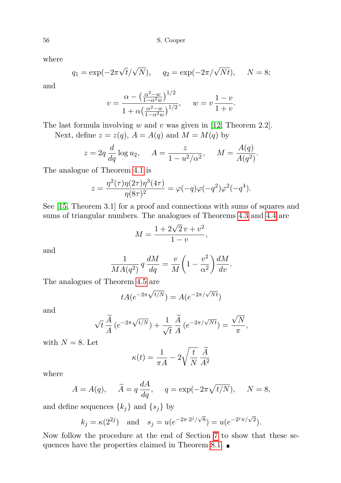where

$$
q_1 = \exp(-2\pi\sqrt{t}/\sqrt{N}), \quad q_2 = \exp(-2\pi/\sqrt{Nt}), \quad N = 8;
$$

and

$$
v = \frac{\alpha - \left(\frac{\alpha^2 - w}{1 - \alpha^2 w}\right)^{1/2}}{1 + \alpha \left(\frac{\alpha^2 - w}{1 - \alpha^2 w}\right)^{1/2}}, \quad w = v \frac{1 - v}{1 + v}.
$$

The last formula involving  $w$  and  $v$  was given in [\[12,](#page-24-21) Theorem 2.2]. Next, define  $z = z(q)$ ,  $A = A(q)$  and  $M = M(q)$  by

$$
z = 2q \frac{d}{dq} \log u_2
$$
,  $A = \frac{z}{1 - u^2/\alpha^2}$ ,  $M = \frac{A(q)}{A(q^2)}$ .

The analogue of Theorem [4.1](#page-8-0) is

$$
z = \frac{\eta^{2}(\tau)\eta(2\tau)\eta^{3}(4\tau)}{\eta(8\tau)^{2}} = \varphi(-q)\varphi(-q^{2})\varphi^{2}(-q^{4}).
$$

See [\[15,](#page-24-22) Theorem 3.1] for a proof and connections with sums of squares and sums of triangular numbers. The analogues of Theorems [4.3](#page-9-2) and [4.4](#page-10-0) are

$$
M = \frac{1 + 2\sqrt{2}v + v^2}{1 - v},
$$

and

$$
\frac{1}{MA(q^2)} q \frac{dM}{dq} = \frac{v}{M} \left( 1 - \frac{v^2}{\alpha^2} \right) \frac{dM}{dv}.
$$

The analogues of Theorem [4.5](#page-11-0) are

$$
tA(e^{-2\pi\sqrt{t/N}}) = A(e^{-2\pi/\sqrt{Nt}})
$$

and

$$
\sqrt{t}\frac{\widetilde{A}}{A}\left(e^{-2\pi\sqrt{t/N}}\right) + \frac{1}{\sqrt{t}}\frac{\widetilde{A}}{A}\left(e^{-2\pi/\sqrt{Nt}}\right) = \frac{\sqrt{N}}{\pi},
$$

with  $N = 8$ . Let

$$
\kappa(t) = \frac{1}{\pi A} - 2\sqrt{\frac{t}{N}} \frac{\tilde{A}}{A^2}
$$

where

$$
A = A(q), \quad \widetilde{A} = q \frac{dA}{dq}, \quad q = \exp(-2\pi \sqrt{t/N}), \quad N = 8,
$$

and define sequences  $\{k_j\}$  and  $\{s_j\}$  by

$$
k_j = \kappa(2^{2j})
$$
 and  $s_j = u(e^{-2\pi \cdot 2^j/\sqrt{8}}) = u(e^{-2^j \pi/\sqrt{2}}).$ 

Now follow the procedure at the end of Section [7](#page-19-0) to show that these se-quences have the properties claimed in Theorem [8.1.](#page-22-0)  $\blacksquare$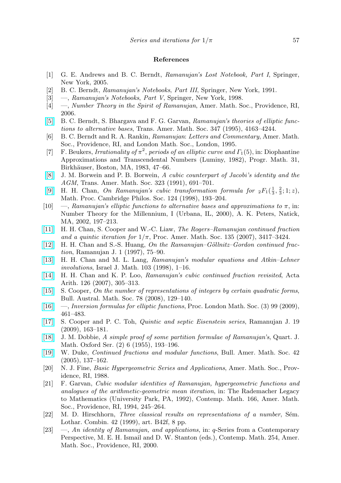#### References

- <span id="page-24-8"></span>[1] G. E. Andrews and B. C. Berndt, Ramanujan's Lost Notebook, Part I, Springer, New York, 2005.
- <span id="page-24-2"></span>[2] B. C. Berndt, Ramanujan's Notebooks, Part III, Springer, New York, 1991.
- <span id="page-24-4"></span>[3] —, Ramanujan's Notebooks, Part V, Springer, New York, 1998.
- <span id="page-24-3"></span>[4] —, Number Theory in the Spirit of Ramanujan, Amer. Math. Soc., Providence, RI, 2006.
- <span id="page-24-16"></span>[\[5\]](http://dx.doi.org/10.2307/2155035) B. C. Berndt, S. Bhargava and F. G. Garvan, Ramanujan's theories of elliptic functions to alternative bases, Trans. Amer. Math. Soc. 347 (1995), 4163–4244.
- <span id="page-24-11"></span>[6] B. C. Berndt and R. A. Rankin, Ramanujan: Letters and Commentary, Amer. Math. Soc., Providence, RI, and London Math. Soc., London, 1995.
- <span id="page-24-15"></span>[7] F. Beukers, Irrationality of  $\pi^2$ , periods of an elliptic curve and  $\Gamma_1(5)$ , in: Diophantine Approximations and Transcendental Numbers (Luminy, 1982), Progr. Math. 31, Birkhäuser, Boston, MA, 1983, 47–66.
- <span id="page-24-7"></span>[\[8\]](http://dx.doi.org/10.2307/2001551) J. M. Borwein and P. B. Borwein, A cubic counterpart of Jacobi's identity and the AGM, Trans. Amer. Math. Soc. 323 (1991), 691–701.
- <span id="page-24-17"></span>[\[9\]](http://dx.doi.org/10.1017/S0305004198002643) H. H. Chan, On Ramanujan's cubic transformation formula for  ${}_2F_1(\frac{1}{3}, \frac{2}{3}; 1; z)$ , Math. Proc. Cambridge Philos. Soc. 124 (1998), 193–204.
- <span id="page-24-20"></span>[10] —, Ramanujan's elliptic functions to alternative bases and approximations to  $\pi$ , in: Number Theory for the Millennium, I (Urbana, IL, 2000), A. K. Peters, Natick, MA, 2002, 197–213.
- <span id="page-24-14"></span>[\[11\]](http://dx.doi.org/10.1090/S0002-9939-07-09031-4) H. H. Chan, S. Cooper and W.-C. Liaw, The Rogers–Ramanujan continued fraction and a quintic iteration for  $1/\pi$ , Proc. Amer. Math. Soc. 135 (2007), 3417-3424.
- <span id="page-24-21"></span>[\[12\]](http://dx.doi.org/10.1023/A:1009767205471) H. H. Chan and S.-S. Huang, On the Ramanujan–Göllnitz–Gordon continued fraction, Ramanujan J. 1 (1997), 75–90.
- <span id="page-24-10"></span>[\[13\]](http://dx.doi.org/10.1007/BF02762264) H. H. Chan and M. L. Lang, Ramanujan's modular equations and Atkin–Lehner involutions, Israel J. Math. 103 (1998), 1–16.
- <span id="page-24-0"></span>[\[14\]](http://dx.doi.org/10.4064/aa126-4-2) H. H. Chan and K. P. Loo, Ramanujan's cubic continued fraction revisited, Acta Arith. 126 (2007), 305–313.
- <span id="page-24-22"></span>[\[15\]](http://dx.doi.org/10.1017/S0004972708000555) S. Cooper, On the number of representations of integers by certain quadratic forms, Bull. Austral. Math. Soc. 78 (2008), 129–140.
- <span id="page-24-18"></span>[\[16\]](http://dx.doi.org/10.1112/plms/pdp007) —, Inversion formulas for elliptic functions, Proc. London Math. Soc. (3) 99 (2009), 461–483.
- <span id="page-24-19"></span>[\[17\]](http://dx.doi.org/10.1007/s11139-008-9123-3) S. Cooper and P. C. Toh, Quintic and septic Eisenstein series, Ramanujan J. 19 (2009), 163–181.
- <span id="page-24-13"></span>[\[18\]](http://dx.doi.org/10.1093/qmath/6.1.193) J. M. Dobbie, A simple proof of some partition formulae of Ramanujan's, Quart. J. Math. Oxford Ser. (2) 6 (1955), 193–196.
- <span id="page-24-1"></span>[\[19\]](http://dx.doi.org/10.1090/S0273-0979-05-01047-5) W. Duke, Continued fractions and modular functions, Bull. Amer. Math. Soc. 42 (2005), 137–162.
- <span id="page-24-12"></span>[20] N. J. Fine, Basic Hypergeometric Series and Applications, Amer. Math. Soc., Providence, RI, 1988.
- <span id="page-24-5"></span>[21] F. Garvan, Cubic modular identities of Ramanujan, hypergeometric functions and analogues of the arithmetic-geometric mean iteration, in: The Rademacher Legacy to Mathematics (University Park, PA, 1992), Contemp. Math. 166, Amer. Math. Soc., Providence, RI, 1994, 245–264.
- <span id="page-24-6"></span> $[22]$  M. D. Hirschhorn, *Three classical results on representations of a number*, Sem. Lothar. Combin. 42 (1999), art. B42f, 8 pp.
- <span id="page-24-9"></span>[23] —, An identity of Ramanujan, and applications, in: q-Series from a Contemporary Perspective, M. E. H. Ismail and D. W. Stanton (eds.), Contemp. Math. 254, Amer. Math. Soc., Providence, RI, 2000.